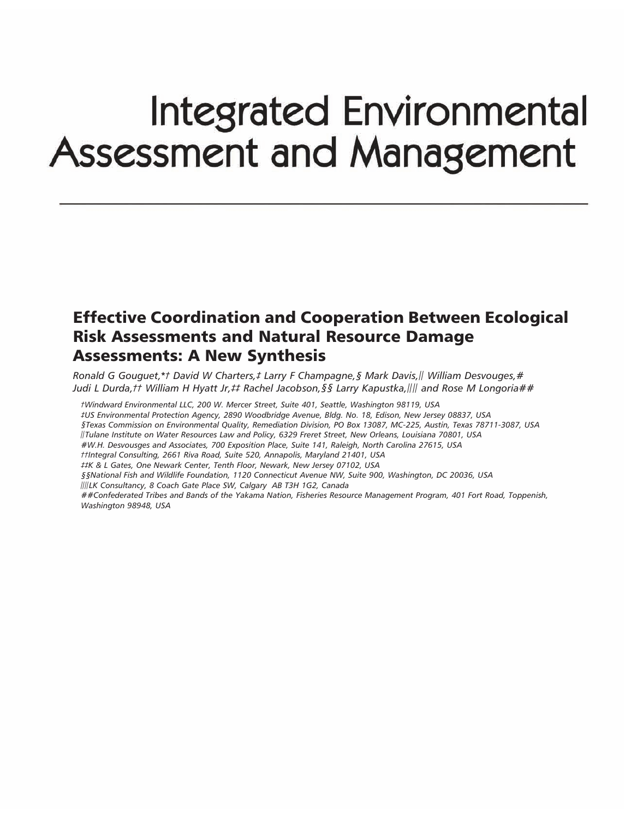# Integrated Environmental Assessment and Management

# Effective Coordination and Cooperation Between Ecological Risk Assessments and Natural Resource Damage Assessments: A New Synthesis

Ronald G Gouguet,\*† David W Charters,‡ Larry F Champagne, § Mark Davis, || William Desvouges, # Judi L Durda,†† William H Hyatt Jr,‡‡ Rachel Jacobson, $\overline{\S}$  Larry Kapustka,|||| and Rose M Longoria##

7Windward Environmental LLC, 200 W. Mercer Street, Suite 401, Seattle, Washington 98119, USA 8US Environmental Protection Agency, 2890 Woodbridge Avenue, Bldg. No. 18, Edison, New Jersey 08837, USA §Texas Commission on Environmental Quality, Remediation Division, PO Box 13087, MC-225, Austin, Texas 78711-3087, USA ITulane Institute on Water Resources Law and Policy, 6329 Freret Street, New Orleans, Louisiana 70801, USA #W.H. Desvousges and Associates, 700 Exposition Place, Suite 141, Raleigh, North Carolina 27615, USA 77Integral Consulting, 2661 Riva Road, Suite 520, Annapolis, Maryland 21401, USA ##K & L Gates, One Newark Center, Tenth Floor, Newark, New Jersey 07102, USA §§National Fish and Wildlife Foundation, 1120 Connecticut Avenue NW, Suite 900, Washington, DC 20036, USA ||||LK Consultancy, 8 Coach Gate Place SW, Calgary AB T3H 1G2, Canada ##Confederated Tribes and Bands of the Yakama Nation, Fisheries Resource Management Program, 401 Fort Road, Toppenish, Washington 98948, USA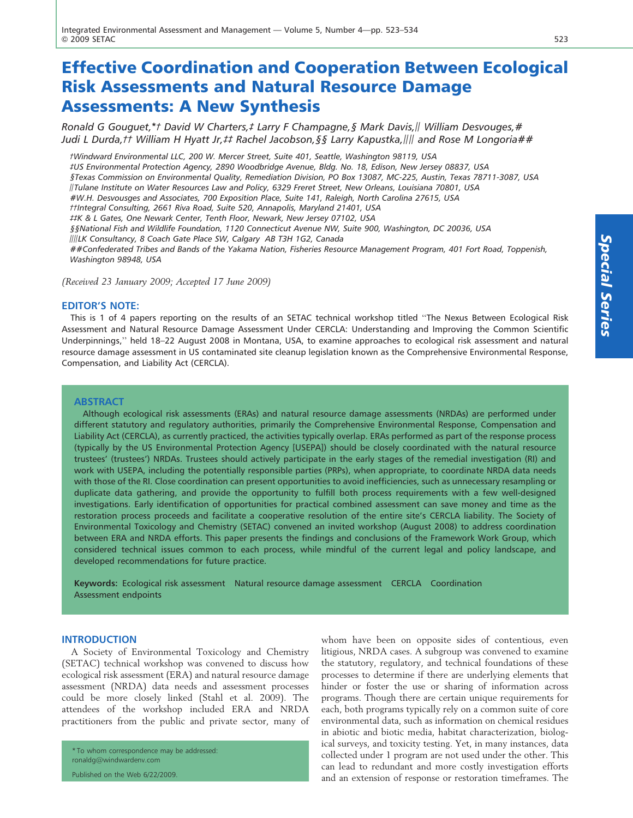# Effective Coordination and Cooperation Between Ecological Risk Assessments and Natural Resource Damage Assessments: A New Synthesis

Ronald G Gouguet,\*† David W Charters,‡ Larry F Champagne, § Mark Davis, || William Desvouges, # Judi L Durda,†† William H Hyatt Jr,‡‡ Rachel Jacobson,§§ Larry Kapustka,|||| and Rose M Longoria##

7Windward Environmental LLC, 200 W. Mercer Street, Suite 401, Seattle, Washington 98119, USA 8US Environmental Protection Agency, 2890 Woodbridge Avenue, Bldg. No. 18, Edison, New Jersey 08837, USA §Texas Commission on Environmental Quality, Remediation Division, PO Box 13087, MC-225, Austin, Texas 78711-3087, USA ITulane Institute on Water Resources Law and Policy, 6329 Freret Street, New Orleans, Louisiana 70801, USA #W.H. Desvousges and Associates, 700 Exposition Place, Suite 141, Raleigh, North Carolina 27615, USA 77Integral Consulting, 2661 Riva Road, Suite 520, Annapolis, Maryland 21401, USA ##K & L Gates, One Newark Center, Tenth Floor, Newark, New Jersey 07102, USA §§National Fish and Wildlife Foundation, 1120 Connecticut Avenue NW, Suite 900, Washington, DC 20036, USA IILK Consultancy, 8 Coach Gate Place SW, Calgary AB T3H 1G2, Canada ##Confederated Tribes and Bands of the Yakama Nation, Fisheries Resource Management Program, 401 Fort Road, Toppenish, Washington 98948, USA

(Received 23 January 2009; Accepted 17 June 2009)

# EDITOR'S NOTE:

This is 1 of 4 papers reporting on the results of an SETAC technical workshop titled ''The Nexus Between Ecological Risk Assessment and Natural Resource Damage Assessment Under CERCLA: Understanding and Improving the Common Scientific Underpinnings,'' held 18–22 August 2008 in Montana, USA, to examine approaches to ecological risk assessment and natural resource damage assessment in US contaminated site cleanup legislation known as the Comprehensive Environmental Response, Compensation, and Liability Act (CERCLA).

#### **ABSTRACT**

Although ecological risk assessments (ERAs) and natural resource damage assessments (NRDAs) are performed under different statutory and regulatory authorities, primarily the Comprehensive Environmental Response, Compensation and Liability Act (CERCLA), as currently practiced, the activities typically overlap. ERAs performed as part of the response process (typically by the US Environmental Protection Agency [USEPA]) should be closely coordinated with the natural resource trustees' (trustees') NRDAs. Trustees should actively participate in the early stages of the remedial investigation (RI) and work with USEPA, including the potentially responsible parties (PRPs), when appropriate, to coordinate NRDA data needs with those of the RI. Close coordination can present opportunities to avoid inefficiencies, such as unnecessary resampling or duplicate data gathering, and provide the opportunity to fulfill both process requirements with a few well-designed investigations. Early identification of opportunities for practical combined assessment can save money and time as the restoration process proceeds and facilitate a cooperative resolution of the entire site's CERCLA liability. The Society of Environmental Toxicology and Chemistry (SETAC) convened an invited workshop (August 2008) to address coordination between ERA and NRDA efforts. This paper presents the findings and conclusions of the Framework Work Group, which considered technical issues common to each process, while mindful of the current legal and policy landscape, and developed recommendations for future practice.

Keywords: Ecological risk assessment Natural resource damage assessment CERCLA Coordination Assessment endpoints

#### INTRODUCTION

A Society of Environmental Toxicology and Chemistry (SETAC) technical workshop was convened to discuss how ecological risk assessment (ERA) and natural resource damage assessment (NRDA) data needs and assessment processes could be more closely linked (Stahl et al. 2009). The attendees of the workshop included ERA and NRDA practitioners from the public and private sector, many of

\* To whom correspondence may be addressed: ronaldg@windwardenv.com Published on the Web 6/22/2009.

whom have been on opposite sides of contentious, even litigious, NRDA cases. A subgroup was convened to examine the statutory, regulatory, and technical foundations of these processes to determine if there are underlying elements that hinder or foster the use or sharing of information across programs. Though there are certain unique requirements for each, both programs typically rely on a common suite of core environmental data, such as information on chemical residues in abiotic and biotic media, habitat characterization, biological surveys, and toxicity testing. Yet, in many instances, data collected under 1 program are not used under the other. This can lead to redundant and more costly investigation efforts and an extension of response or restoration timeframes. The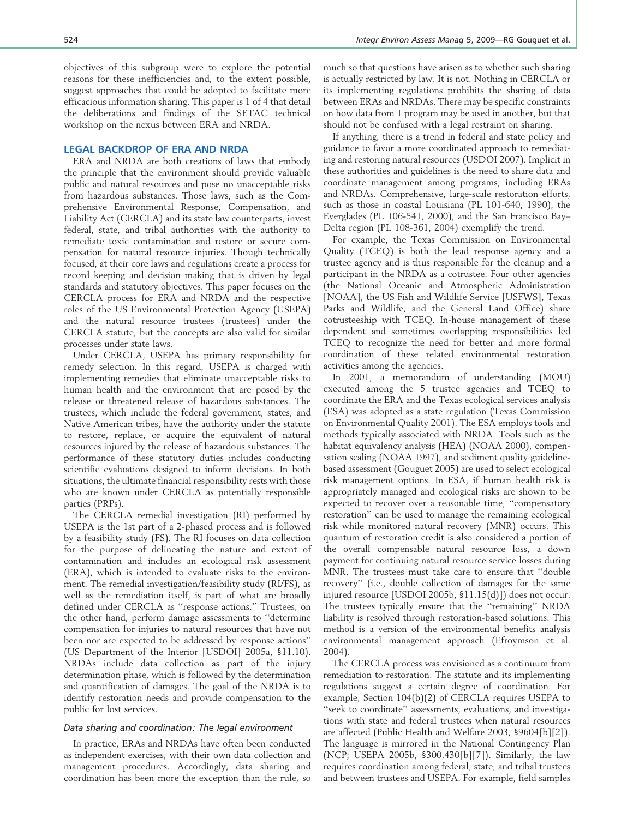objectives of this subgroup were to explore the potential reasons for these inefficiencies and, to the extent possible, suggest approaches that could be adopted to facilitate more efficacious information sharing. This paper is 1 of 4 that detail the deliberations and findings of the SETAC technical workshop on the nexus between ERA and NRDA.

#### LEGAL BACKDROP OF ERA AND NRDA

ERA and NRDA are both creations of laws that embody the principle that the environment should provide valuable public and natural resources and pose no unacceptable risks from hazardous substances. Those laws, such as the Comprehensive Environmental Response, Compensation, and Liability Act (CERCLA) and its state law counterparts, invest federal, state, and tribal authorities with the authority to remediate toxic contamination and restore or secure compensation for natural resource injuries. Though technically focused, at their core laws and regulations create a process for record keeping and decision making that is driven by legal standards and statutory objectives. This paper focuses on the CERCLA process for ERA and NRDA and the respective roles of the US Environmental Protection Agency (USEPA) and the natural resource trustees (trustees) under the CERCLA statute, but the concepts are also valid for similar processes under state laws.

Under CERCLA, USEPA has primary responsibility for remedy selection. In this regard, USEPA is charged with implementing remedies that eliminate unacceptable risks to human health and the environment that are posed by the release or threatened release of hazardous substances. The trustees, which include the federal government, states, and Native American tribes, have the authority under the statute to restore, replace, or acquire the equivalent of natural resources injured by the release of hazardous substances. The performance of these statutory duties includes conducting scientific evaluations designed to inform decisions. In both situations, the ultimate financial responsibility rests with those who are known under CERCLA as potentially responsible parties (PRPs).

The CERCLA remedial investigation (RI) performed by USEPA is the 1st part of a 2-phased process and is followed by a feasibility study (FS). The RI focuses on data collection for the purpose of delineating the nature and extent of contamination and includes an ecological risk assessment (ERA), which is intended to evaluate risks to the environment. The remedial investigation/feasibility study (RI/FS), as well as the remediation itself, is part of what are broadly defined under CERCLA as ''response actions.'' Trustees, on the other hand, perform damage assessments to ''determine compensation for injuries to natural resources that have not been nor are expected to be addressed by response actions'' (US Department of the Interior [USDOI] 2005a, §11.10). NRDAs include data collection as part of the injury determination phase, which is followed by the determination and quantification of damages. The goal of the NRDA is to identify restoration needs and provide compensation to the public for lost services.

#### Data sharing and coordination: The legal environment

In practice, ERAs and NRDAs have often been conducted as independent exercises, with their own data collection and management procedures. Accordingly, data sharing and coordination has been more the exception than the rule, so much so that questions have arisen as to whether such sharing is actually restricted by law. It is not. Nothing in CERCLA or its implementing regulations prohibits the sharing of data between ERAs and NRDAs. There may be specific constraints on how data from 1 program may be used in another, but that should not be confused with a legal restraint on sharing.

If anything, there is a trend in federal and state policy and guidance to favor a more coordinated approach to remediating and restoring natural resources (USDOI 2007). Implicit in these authorities and guidelines is the need to share data and coordinate management among programs, including ERAs and NRDAs. Comprehensive, large-scale restoration efforts, such as those in coastal Louisiana (PL 101-640, 1990), the Everglades (PL 106-541, 2000), and the San Francisco Bay– Delta region (PL 108-361, 2004) exemplify the trend.

For example, the Texas Commission on Environmental Quality (TCEQ) is both the lead response agency and a trustee agency and is thus responsible for the cleanup and a participant in the NRDA as a cotrustee. Four other agencies (the National Oceanic and Atmospheric Administration [NOAA], the US Fish and Wildlife Service [USFWS], Texas Parks and Wildlife, and the General Land Office) share cotrusteeship with TCEQ. In-house management of these dependent and sometimes overlapping responsibilities led TCEQ to recognize the need for better and more formal coordination of these related environmental restoration activities among the agencies.

In 2001, a memorandum of understanding (MOU) executed among the 5 trustee agencies and TCEQ to coordinate the ERA and the Texas ecological services analysis (ESA) was adopted as a state regulation (Texas Commission on Environmental Quality 2001). The ESA employs tools and methods typically associated with NRDA. Tools such as the habitat equivalency analysis (HEA) (NOAA 2000), compensation scaling (NOAA 1997), and sediment quality guidelinebased assessment (Gouguet 2005) are used to select ecological risk management options. In ESA, if human health risk is appropriately managed and ecological risks are shown to be expected to recover over a reasonable time, ''compensatory restoration'' can be used to manage the remaining ecological risk while monitored natural recovery (MNR) occurs. This quantum of restoration credit is also considered a portion of the overall compensable natural resource loss, a down payment for continuing natural resource service losses during MNR. The trustees must take care to ensure that ''double recovery'' (i.e., double collection of damages for the same injured resource [USDOI 2005b, §11.15(d)]) does not occur. The trustees typically ensure that the ''remaining'' NRDA liability is resolved through restoration-based solutions. This method is a version of the environmental benefits analysis environmental management approach (Efroymson et al. 2004).

The CERCLA process was envisioned as a continuum from remediation to restoration. The statute and its implementing regulations suggest a certain degree of coordination. For example, Section 104(b)(2) of CERCLA requires USEPA to "seek to coordinate" assessments, evaluations, and investigations with state and federal trustees when natural resources are affected (Public Health and Welfare 2003, §9604[b][2]). The language is mirrored in the National Contingency Plan (NCP; USEPA 2005b, §300.430[b][7]). Similarly, the law requires coordination among federal, state, and tribal trustees and between trustees and USEPA. For example, field samples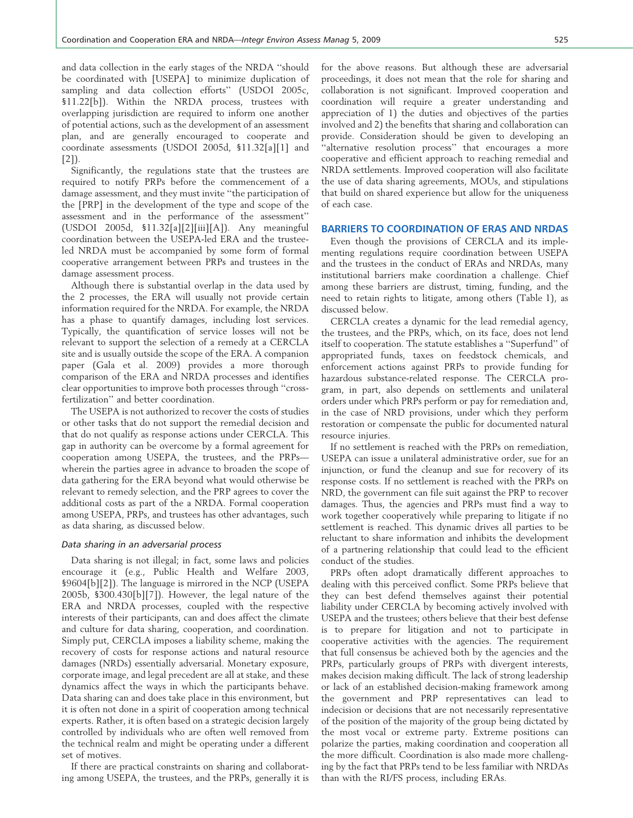and data collection in the early stages of the NRDA ''should be coordinated with [USEPA] to minimize duplication of sampling and data collection efforts'' (USDOI 2005c, 111.22[b]). Within the NRDA process, trustees with overlapping jurisdiction are required to inform one another of potential actions, such as the development of an assessment plan, and are generally encouraged to cooperate and coordinate assessments (USDOI 2005d, §11.32[a][1] and  $[2]$ .

Significantly, the regulations state that the trustees are required to notify PRPs before the commencement of a damage assessment, and they must invite ''the participation of the [PRP] in the development of the type and scope of the assessment and in the performance of the assessment'' (USDOI 2005d, 111.32[a][2][iii][A]). Any meaningful coordination between the USEPA-led ERA and the trusteeled NRDA must be accompanied by some form of formal cooperative arrangement between PRPs and trustees in the damage assessment process.

Although there is substantial overlap in the data used by the 2 processes, the ERA will usually not provide certain information required for the NRDA. For example, the NRDA has a phase to quantify damages, including lost services. Typically, the quantification of service losses will not be relevant to support the selection of a remedy at a CERCLA site and is usually outside the scope of the ERA. A companion paper (Gala et al. 2009) provides a more thorough comparison of the ERA and NRDA processes and identifies clear opportunities to improve both processes through ''crossfertilization'' and better coordination.

The USEPA is not authorized to recover the costs of studies or other tasks that do not support the remedial decision and that do not qualify as response actions under CERCLA. This gap in authority can be overcome by a formal agreement for cooperation among USEPA, the trustees, and the PRPs wherein the parties agree in advance to broaden the scope of data gathering for the ERA beyond what would otherwise be relevant to remedy selection, and the PRP agrees to cover the additional costs as part of the a NRDA. Formal cooperation among USEPA, PRPs, and trustees has other advantages, such as data sharing, as discussed below.

#### Data sharing in an adversarial process

Data sharing is not illegal; in fact, some laws and policies encourage it (e.g., Public Health and Welfare 2003, 19604[b][2]). The language is mirrored in the NCP (USEPA 2005b, §300.430[b][7]). However, the legal nature of the ERA and NRDA processes, coupled with the respective interests of their participants, can and does affect the climate and culture for data sharing, cooperation, and coordination. Simply put, CERCLA imposes a liability scheme, making the recovery of costs for response actions and natural resource damages (NRDs) essentially adversarial. Monetary exposure, corporate image, and legal precedent are all at stake, and these dynamics affect the ways in which the participants behave. Data sharing can and does take place in this environment, but it is often not done in a spirit of cooperation among technical experts. Rather, it is often based on a strategic decision largely controlled by individuals who are often well removed from the technical realm and might be operating under a different set of motives.

If there are practical constraints on sharing and collaborating among USEPA, the trustees, and the PRPs, generally it is for the above reasons. But although these are adversarial proceedings, it does not mean that the role for sharing and collaboration is not significant. Improved cooperation and coordination will require a greater understanding and appreciation of 1) the duties and objectives of the parties involved and 2) the benefits that sharing and collaboration can provide. Consideration should be given to developing an "alternative resolution process" that encourages a more cooperative and efficient approach to reaching remedial and NRDA settlements. Improved cooperation will also facilitate the use of data sharing agreements, MOUs, and stipulations that build on shared experience but allow for the uniqueness of each case.

### BARRIERS TO COORDINATION OF ERAS AND NRDAS

Even though the provisions of CERCLA and its implementing regulations require coordination between USEPA and the trustees in the conduct of ERAs and NRDAs, many institutional barriers make coordination a challenge. Chief among these barriers are distrust, timing, funding, and the need to retain rights to litigate, among others (Table 1), as discussed below.

CERCLA creates a dynamic for the lead remedial agency, the trustees, and the PRPs, which, on its face, does not lend itself to cooperation. The statute establishes a ''Superfund'' of appropriated funds, taxes on feedstock chemicals, and enforcement actions against PRPs to provide funding for hazardous substance-related response. The CERCLA program, in part, also depends on settlements and unilateral orders under which PRPs perform or pay for remediation and, in the case of NRD provisions, under which they perform restoration or compensate the public for documented natural resource injuries.

If no settlement is reached with the PRPs on remediation, USEPA can issue a unilateral administrative order, sue for an injunction, or fund the cleanup and sue for recovery of its response costs. If no settlement is reached with the PRPs on NRD, the government can file suit against the PRP to recover damages. Thus, the agencies and PRPs must find a way to work together cooperatively while preparing to litigate if no settlement is reached. This dynamic drives all parties to be reluctant to share information and inhibits the development of a partnering relationship that could lead to the efficient conduct of the studies.

PRPs often adopt dramatically different approaches to dealing with this perceived conflict. Some PRPs believe that they can best defend themselves against their potential liability under CERCLA by becoming actively involved with USEPA and the trustees; others believe that their best defense is to prepare for litigation and not to participate in cooperative activities with the agencies. The requirement that full consensus be achieved both by the agencies and the PRPs, particularly groups of PRPs with divergent interests, makes decision making difficult. The lack of strong leadership or lack of an established decision-making framework among the government and PRP representatives can lead to indecision or decisions that are not necessarily representative of the position of the majority of the group being dictated by the most vocal or extreme party. Extreme positions can polarize the parties, making coordination and cooperation all the more difficult. Coordination is also made more challenging by the fact that PRPs tend to be less familiar with NRDAs than with the RI/FS process, including ERAs.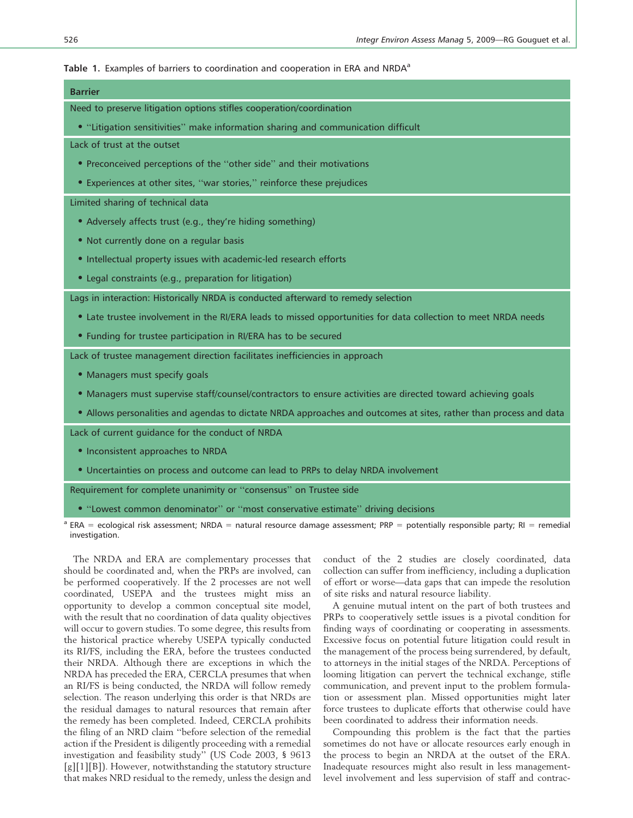Table 1. Examples of barriers to coordination and cooperation in ERA and NRDA<sup>a</sup>

| <b>Barrier</b>                                                                                                    |  |  |  |
|-------------------------------------------------------------------------------------------------------------------|--|--|--|
| Need to preserve litigation options stifles cooperation/coordination                                              |  |  |  |
| • "Litigation sensitivities" make information sharing and communication difficult                                 |  |  |  |
| Lack of trust at the outset                                                                                       |  |  |  |
| • Preconceived perceptions of the "other side" and their motivations                                              |  |  |  |
| • Experiences at other sites, "war stories," reinforce these prejudices                                           |  |  |  |
| Limited sharing of technical data                                                                                 |  |  |  |
| • Adversely affects trust (e.g., they're hiding something)                                                        |  |  |  |
| . Not currently done on a regular basis                                                                           |  |  |  |
| • Intellectual property issues with academic-led research efforts                                                 |  |  |  |
| • Legal constraints (e.g., preparation for litigation)                                                            |  |  |  |
| Lags in interaction: Historically NRDA is conducted afterward to remedy selection                                 |  |  |  |
| • Late trustee involvement in the RI/ERA leads to missed opportunities for data collection to meet NRDA needs     |  |  |  |
| • Funding for trustee participation in RI/ERA has to be secured                                                   |  |  |  |
| Lack of trustee management direction facilitates inefficiencies in approach                                       |  |  |  |
| • Managers must specify goals                                                                                     |  |  |  |
| • Managers must supervise staff/counsel/contractors to ensure activities are directed toward achieving goals      |  |  |  |
| • Allows personalities and agendas to dictate NRDA approaches and outcomes at sites, rather than process and data |  |  |  |
| Lack of current guidance for the conduct of NRDA                                                                  |  |  |  |
| • Inconsistent approaches to NRDA                                                                                 |  |  |  |
| • Uncertainties on process and outcome can lead to PRPs to delay NRDA involvement                                 |  |  |  |
| Requirement for complete unanimity or "consensus" on Trustee side                                                 |  |  |  |

• "Lowest common denominator" or "most conservative estimate" driving decisions

 $a$  ERA = ecological risk assessment; NRDA = natural resource damage assessment; PRP = potentially responsible party; RI = remedial investigation.

The NRDA and ERA are complementary processes that should be coordinated and, when the PRPs are involved, can be performed cooperatively. If the 2 processes are not well coordinated, USEPA and the trustees might miss an opportunity to develop a common conceptual site model, with the result that no coordination of data quality objectives will occur to govern studies. To some degree, this results from the historical practice whereby USEPA typically conducted its RI/FS, including the ERA, before the trustees conducted their NRDA. Although there are exceptions in which the NRDA has preceded the ERA, CERCLA presumes that when an RI/FS is being conducted, the NRDA will follow remedy selection. The reason underlying this order is that NRDs are the residual damages to natural resources that remain after the remedy has been completed. Indeed, CERCLA prohibits the filing of an NRD claim ''before selection of the remedial action if the President is diligently proceeding with a remedial investigation and feasibility study" (US Code 2003, § 9613 [g][1][B]). However, notwithstanding the statutory structure that makes NRD residual to the remedy, unless the design and

conduct of the 2 studies are closely coordinated, data collection can suffer from inefficiency, including a duplication of effort or worse—data gaps that can impede the resolution of site risks and natural resource liability.

A genuine mutual intent on the part of both trustees and PRPs to cooperatively settle issues is a pivotal condition for finding ways of coordinating or cooperating in assessments. Excessive focus on potential future litigation could result in the management of the process being surrendered, by default, to attorneys in the initial stages of the NRDA. Perceptions of looming litigation can pervert the technical exchange, stifle communication, and prevent input to the problem formulation or assessment plan. Missed opportunities might later force trustees to duplicate efforts that otherwise could have been coordinated to address their information needs.

Compounding this problem is the fact that the parties sometimes do not have or allocate resources early enough in the process to begin an NRDA at the outset of the ERA. Inadequate resources might also result in less managementlevel involvement and less supervision of staff and contrac-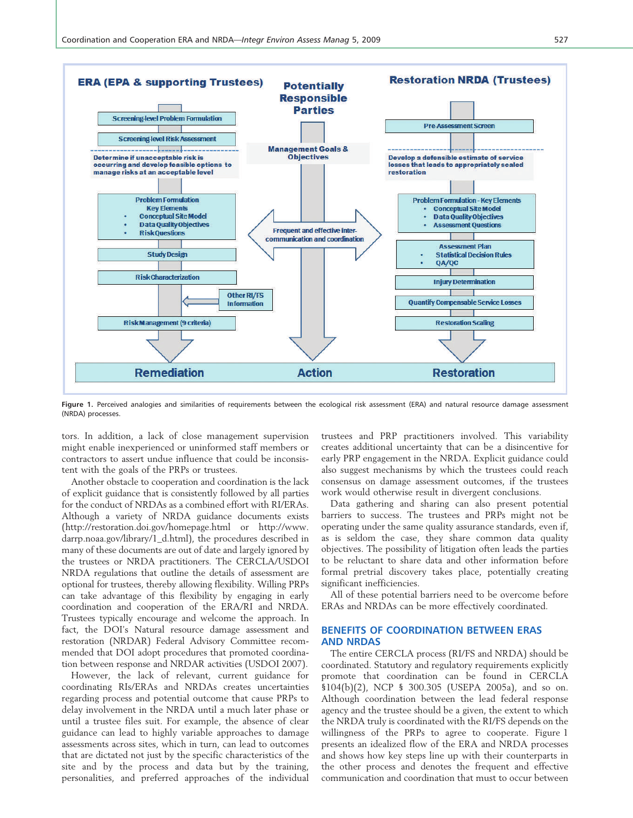

Figure 1. Perceived analogies and similarities of requirements between the ecological risk assessment (ERA) and natural resource damage assessment (NRDA) processes.

tors. In addition, a lack of close management supervision might enable inexperienced or uninformed staff members or contractors to assert undue influence that could be inconsistent with the goals of the PRPs or trustees.

Another obstacle to cooperation and coordination is the lack of explicit guidance that is consistently followed by all parties for the conduct of NRDAs as a combined effort with RI/ERAs. Although a variety of NRDA guidance documents exists (http://restoration.doi.gov/homepage.html or http://www. darrp.noaa.gov/library/1\_d.html), the procedures described in many of these documents are out of date and largely ignored by the trustees or NRDA practitioners. The CERCLA/USDOI NRDA regulations that outline the details of assessment are optional for trustees, thereby allowing flexibility. Willing PRPs can take advantage of this flexibility by engaging in early coordination and cooperation of the ERA/RI and NRDA. Trustees typically encourage and welcome the approach. In fact, the DOI's Natural resource damage assessment and restoration (NRDAR) Federal Advisory Committee recommended that DOI adopt procedures that promoted coordination between response and NRDAR activities (USDOI 2007).

However, the lack of relevant, current guidance for coordinating RIs/ERAs and NRDAs creates uncertainties regarding process and potential outcome that cause PRPs to delay involvement in the NRDA until a much later phase or until a trustee files suit. For example, the absence of clear guidance can lead to highly variable approaches to damage assessments across sites, which in turn, can lead to outcomes that are dictated not just by the specific characteristics of the site and by the process and data but by the training, personalities, and preferred approaches of the individual

trustees and PRP practitioners involved. This variability creates additional uncertainty that can be a disincentive for early PRP engagement in the NRDA. Explicit guidance could also suggest mechanisms by which the trustees could reach consensus on damage assessment outcomes, if the trustees work would otherwise result in divergent conclusions.

Data gathering and sharing can also present potential barriers to success. The trustees and PRPs might not be operating under the same quality assurance standards, even if, as is seldom the case, they share common data quality objectives. The possibility of litigation often leads the parties to be reluctant to share data and other information before formal pretrial discovery takes place, potentially creating significant inefficiencies.

All of these potential barriers need to be overcome before ERAs and NRDAs can be more effectively coordinated.

# BENEFITS OF COORDINATION BETWEEN ERAS AND NRDAS

The entire CERCLA process (RI/FS and NRDA) should be coordinated. Statutory and regulatory requirements explicitly promote that coordination can be found in CERCLA §104(b)(2), NCP § 300.305 (USEPA 2005a), and so on. Although coordination between the lead federal response agency and the trustee should be a given, the extent to which the NRDA truly is coordinated with the RI/FS depends on the willingness of the PRPs to agree to cooperate. Figure 1 presents an idealized flow of the ERA and NRDA processes and shows how key steps line up with their counterparts in the other process and denotes the frequent and effective communication and coordination that must to occur between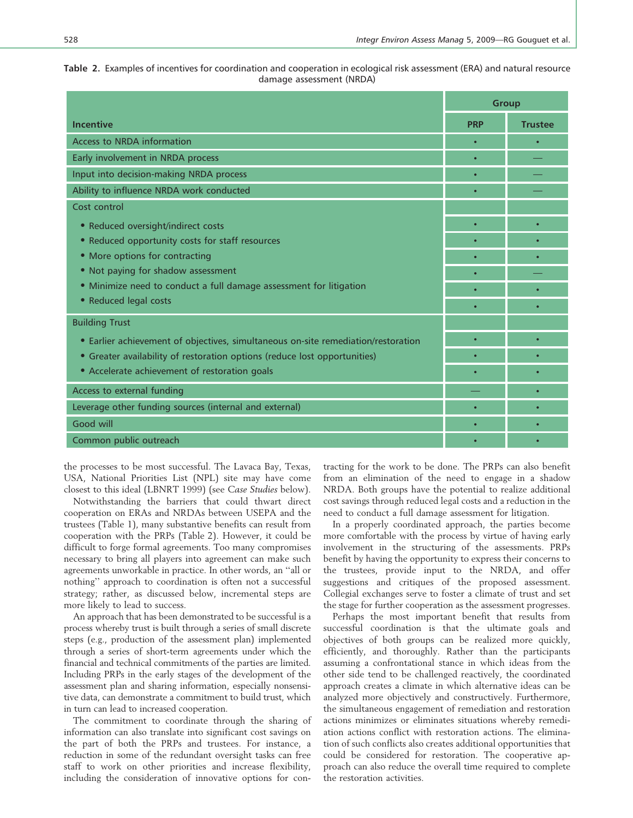| Table 2. Examples of incentives for coordination and cooperation in ecological risk assessment (ERA) and natural resource |
|---------------------------------------------------------------------------------------------------------------------------|
| damage assessment (NRDA)                                                                                                  |

|                                                                                   | <b>Group</b> |                |
|-----------------------------------------------------------------------------------|--------------|----------------|
| <b>Incentive</b>                                                                  | <b>PRP</b>   | <b>Trustee</b> |
| Access to NRDA information                                                        | ٠            | ٠              |
| Early involvement in NRDA process                                                 | $\bullet$    |                |
| Input into decision-making NRDA process                                           | ٠            |                |
| Ability to influence NRDA work conducted                                          |              |                |
| Cost control                                                                      |              |                |
| • Reduced oversight/indirect costs                                                | ٠            |                |
| • Reduced opportunity costs for staff resources                                   |              | $\bullet$      |
| • More options for contracting                                                    | ٠            |                |
| • Not paying for shadow assessment                                                | ٠            |                |
| • Minimize need to conduct a full damage assessment for litigation                |              |                |
| • Reduced legal costs                                                             |              |                |
| <b>Building Trust</b>                                                             |              |                |
| • Earlier achievement of objectives, simultaneous on-site remediation/restoration |              |                |
| • Greater availability of restoration options (reduce lost opportunities)         | ٠            | ٠              |
| • Accelerate achievement of restoration goals                                     | $\bullet$    | $\bullet$      |
| Access to external funding                                                        |              | ٠              |
| Leverage other funding sources (internal and external)                            |              | $\bullet$      |
| Good will                                                                         | $\bullet$    |                |
| Common public outreach                                                            |              |                |

the processes to be most successful. The Lavaca Bay, Texas, USA, National Priorities List (NPL) site may have come closest to this ideal (LBNRT 1999) (see Case Studies below).

Notwithstanding the barriers that could thwart direct cooperation on ERAs and NRDAs between USEPA and the trustees (Table 1), many substantive benefits can result from cooperation with the PRPs (Table 2). However, it could be difficult to forge formal agreements. Too many compromises necessary to bring all players into agreement can make such agreements unworkable in practice. In other words, an ''all or nothing'' approach to coordination is often not a successful strategy; rather, as discussed below, incremental steps are more likely to lead to success.

An approach that has been demonstrated to be successful is a process whereby trust is built through a series of small discrete steps (e.g., production of the assessment plan) implemented through a series of short-term agreements under which the financial and technical commitments of the parties are limited. Including PRPs in the early stages of the development of the assessment plan and sharing information, especially nonsensitive data, can demonstrate a commitment to build trust, which in turn can lead to increased cooperation.

The commitment to coordinate through the sharing of information can also translate into significant cost savings on the part of both the PRPs and trustees. For instance, a reduction in some of the redundant oversight tasks can free staff to work on other priorities and increase flexibility, including the consideration of innovative options for contracting for the work to be done. The PRPs can also benefit from an elimination of the need to engage in a shadow NRDA. Both groups have the potential to realize additional cost savings through reduced legal costs and a reduction in the need to conduct a full damage assessment for litigation.

In a properly coordinated approach, the parties become more comfortable with the process by virtue of having early involvement in the structuring of the assessments. PRPs benefit by having the opportunity to express their concerns to the trustees, provide input to the NRDA, and offer suggestions and critiques of the proposed assessment. Collegial exchanges serve to foster a climate of trust and set the stage for further cooperation as the assessment progresses.

Perhaps the most important benefit that results from successful coordination is that the ultimate goals and objectives of both groups can be realized more quickly, efficiently, and thoroughly. Rather than the participants assuming a confrontational stance in which ideas from the other side tend to be challenged reactively, the coordinated approach creates a climate in which alternative ideas can be analyzed more objectively and constructively. Furthermore, the simultaneous engagement of remediation and restoration actions minimizes or eliminates situations whereby remediation actions conflict with restoration actions. The elimination of such conflicts also creates additional opportunities that could be considered for restoration. The cooperative approach can also reduce the overall time required to complete the restoration activities.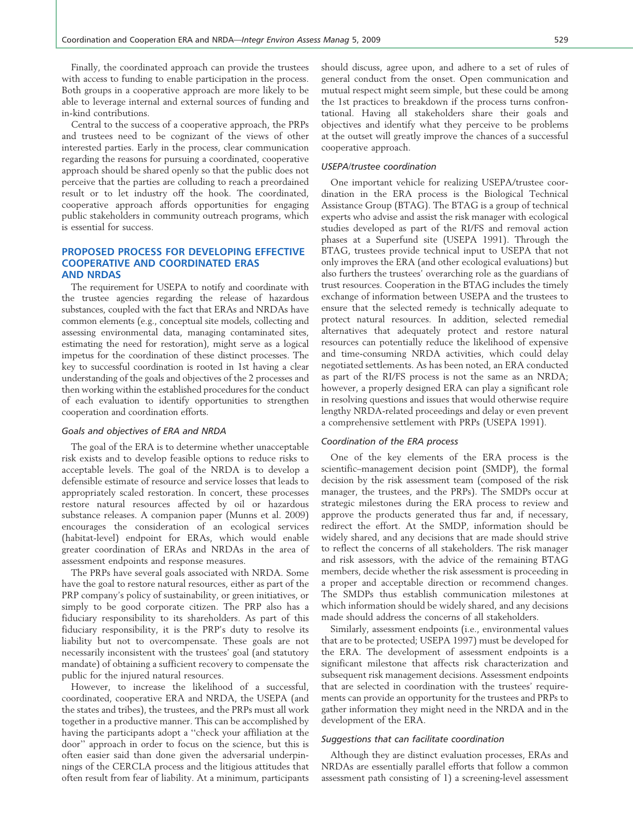Finally, the coordinated approach can provide the trustees with access to funding to enable participation in the process. Both groups in a cooperative approach are more likely to be able to leverage internal and external sources of funding and in-kind contributions.

Central to the success of a cooperative approach, the PRPs and trustees need to be cognizant of the views of other interested parties. Early in the process, clear communication regarding the reasons for pursuing a coordinated, cooperative approach should be shared openly so that the public does not perceive that the parties are colluding to reach a preordained result or to let industry off the hook. The coordinated, cooperative approach affords opportunities for engaging public stakeholders in community outreach programs, which is essential for success.

# PROPOSED PROCESS FOR DEVELOPING EFFECTIVE COOPERATIVE AND COORDINATED ERAS AND NRDAS

The requirement for USEPA to notify and coordinate with the trustee agencies regarding the release of hazardous substances, coupled with the fact that ERAs and NRDAs have common elements (e.g., conceptual site models, collecting and assessing environmental data, managing contaminated sites, estimating the need for restoration), might serve as a logical impetus for the coordination of these distinct processes. The key to successful coordination is rooted in 1st having a clear understanding of the goals and objectives of the 2 processes and then working within the established procedures for the conduct of each evaluation to identify opportunities to strengthen cooperation and coordination efforts.

#### Goals and objectives of ERA and NRDA

The goal of the ERA is to determine whether unacceptable risk exists and to develop feasible options to reduce risks to acceptable levels. The goal of the NRDA is to develop a defensible estimate of resource and service losses that leads to appropriately scaled restoration. In concert, these processes restore natural resources affected by oil or hazardous substance releases. A companion paper (Munns et al. 2009) encourages the consideration of an ecological services (habitat-level) endpoint for ERAs, which would enable greater coordination of ERAs and NRDAs in the area of assessment endpoints and response measures.

The PRPs have several goals associated with NRDA. Some have the goal to restore natural resources, either as part of the PRP company's policy of sustainability, or green initiatives, or simply to be good corporate citizen. The PRP also has a fiduciary responsibility to its shareholders. As part of this fiduciary responsibility, it is the PRP's duty to resolve its liability but not to overcompensate. These goals are not necessarily inconsistent with the trustees' goal (and statutory mandate) of obtaining a sufficient recovery to compensate the public for the injured natural resources.

However, to increase the likelihood of a successful, coordinated, cooperative ERA and NRDA, the USEPA (and the states and tribes), the trustees, and the PRPs must all work together in a productive manner. This can be accomplished by having the participants adopt a ''check your affiliation at the door'' approach in order to focus on the science, but this is often easier said than done given the adversarial underpinnings of the CERCLA process and the litigious attitudes that often result from fear of liability. At a minimum, participants

should discuss, agree upon, and adhere to a set of rules of general conduct from the onset. Open communication and mutual respect might seem simple, but these could be among the 1st practices to breakdown if the process turns confrontational. Having all stakeholders share their goals and objectives and identify what they perceive to be problems at the outset will greatly improve the chances of a successful cooperative approach.

#### USEPA/trustee coordination

One important vehicle for realizing USEPA/trustee coordination in the ERA process is the Biological Technical Assistance Group (BTAG). The BTAG is a group of technical experts who advise and assist the risk manager with ecological studies developed as part of the RI/FS and removal action phases at a Superfund site (USEPA 1991). Through the BTAG, trustees provide technical input to USEPA that not only improves the ERA (and other ecological evaluations) but also furthers the trustees' overarching role as the guardians of trust resources. Cooperation in the BTAG includes the timely exchange of information between USEPA and the trustees to ensure that the selected remedy is technically adequate to protect natural resources. In addition, selected remedial alternatives that adequately protect and restore natural resources can potentially reduce the likelihood of expensive and time-consuming NRDA activities, which could delay negotiated settlements. As has been noted, an ERA conducted as part of the RI/FS process is not the same as an NRDA; however, a properly designed ERA can play a significant role in resolving questions and issues that would otherwise require lengthy NRDA-related proceedings and delay or even prevent a comprehensive settlement with PRPs (USEPA 1991).

## Coordination of the ERA process

One of the key elements of the ERA process is the scientific–management decision point (SMDP), the formal decision by the risk assessment team (composed of the risk manager, the trustees, and the PRPs). The SMDPs occur at strategic milestones during the ERA process to review and approve the products generated thus far and, if necessary, redirect the effort. At the SMDP, information should be widely shared, and any decisions that are made should strive to reflect the concerns of all stakeholders. The risk manager and risk assessors, with the advice of the remaining BTAG members, decide whether the risk assessment is proceeding in a proper and acceptable direction or recommend changes. The SMDPs thus establish communication milestones at which information should be widely shared, and any decisions made should address the concerns of all stakeholders.

Similarly, assessment endpoints (i.e., environmental values that are to be protected; USEPA 1997) must be developed for the ERA. The development of assessment endpoints is a significant milestone that affects risk characterization and subsequent risk management decisions. Assessment endpoints that are selected in coordination with the trustees' requirements can provide an opportunity for the trustees and PRPs to gather information they might need in the NRDA and in the development of the ERA.

#### Suggestions that can facilitate coordination

Although they are distinct evaluation processes, ERAs and NRDAs are essentially parallel efforts that follow a common assessment path consisting of 1) a screening-level assessment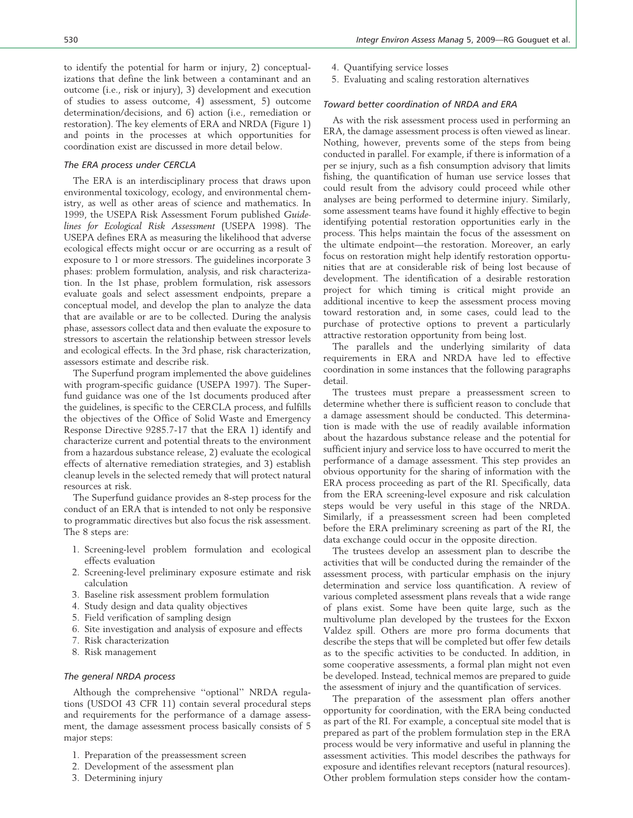to identify the potential for harm or injury, 2) conceptualizations that define the link between a contaminant and an outcome (i.e., risk or injury), 3) development and execution of studies to assess outcome, 4) assessment, 5) outcome determination/decisions, and 6) action (i.e., remediation or restoration). The key elements of ERA and NRDA (Figure 1) and points in the processes at which opportunities for coordination exist are discussed in more detail below.

# The ERA process under CERCLA

The ERA is an interdisciplinary process that draws upon environmental toxicology, ecology, and environmental chemistry, as well as other areas of science and mathematics. In 1999, the USEPA Risk Assessment Forum published Guidelines for Ecological Risk Assessment (USEPA 1998). The USEPA defines ERA as measuring the likelihood that adverse ecological effects might occur or are occurring as a result of exposure to 1 or more stressors. The guidelines incorporate 3 phases: problem formulation, analysis, and risk characterization. In the 1st phase, problem formulation, risk assessors evaluate goals and select assessment endpoints, prepare a conceptual model, and develop the plan to analyze the data that are available or are to be collected. During the analysis phase, assessors collect data and then evaluate the exposure to stressors to ascertain the relationship between stressor levels and ecological effects. In the 3rd phase, risk characterization, assessors estimate and describe risk.

The Superfund program implemented the above guidelines with program-specific guidance (USEPA 1997). The Superfund guidance was one of the 1st documents produced after the guidelines, is specific to the CERCLA process, and fulfills the objectives of the Office of Solid Waste and Emergency Response Directive 9285.7-17 that the ERA 1) identify and characterize current and potential threats to the environment from a hazardous substance release, 2) evaluate the ecological effects of alternative remediation strategies, and 3) establish cleanup levels in the selected remedy that will protect natural resources at risk.

The Superfund guidance provides an 8-step process for the conduct of an ERA that is intended to not only be responsive to programmatic directives but also focus the risk assessment. The 8 steps are:

- 1. Screening-level problem formulation and ecological effects evaluation
- 2. Screening-level preliminary exposure estimate and risk calculation
- 3. Baseline risk assessment problem formulation
- 4. Study design and data quality objectives
- 5. Field verification of sampling design
- 6. Site investigation and analysis of exposure and effects
- 7. Risk characterization
- 8. Risk management

#### The general NRDA process

Although the comprehensive ''optional'' NRDA regulations (USDOI 43 CFR 11) contain several procedural steps and requirements for the performance of a damage assessment, the damage assessment process basically consists of 5 major steps:

- 1. Preparation of the preassessment screen
- 2. Development of the assessment plan
- 3. Determining injury
- 4. Quantifying service losses
- 5. Evaluating and scaling restoration alternatives

# Toward better coordination of NRDA and ERA

As with the risk assessment process used in performing an ERA, the damage assessment process is often viewed as linear. Nothing, however, prevents some of the steps from being conducted in parallel. For example, if there is information of a per se injury, such as a fish consumption advisory that limits fishing, the quantification of human use service losses that could result from the advisory could proceed while other analyses are being performed to determine injury. Similarly, some assessment teams have found it highly effective to begin identifying potential restoration opportunities early in the process. This helps maintain the focus of the assessment on the ultimate endpoint—the restoration. Moreover, an early focus on restoration might help identify restoration opportunities that are at considerable risk of being lost because of development. The identification of a desirable restoration project for which timing is critical might provide an additional incentive to keep the assessment process moving toward restoration and, in some cases, could lead to the purchase of protective options to prevent a particularly attractive restoration opportunity from being lost.

The parallels and the underlying similarity of data requirements in ERA and NRDA have led to effective coordination in some instances that the following paragraphs detail.

The trustees must prepare a preassessment screen to determine whether there is sufficient reason to conclude that a damage assessment should be conducted. This determination is made with the use of readily available information about the hazardous substance release and the potential for sufficient injury and service loss to have occurred to merit the performance of a damage assessment. This step provides an obvious opportunity for the sharing of information with the ERA process proceeding as part of the RI. Specifically, data from the ERA screening-level exposure and risk calculation steps would be very useful in this stage of the NRDA. Similarly, if a preassessment screen had been completed before the ERA preliminary screening as part of the RI, the data exchange could occur in the opposite direction.

The trustees develop an assessment plan to describe the activities that will be conducted during the remainder of the assessment process, with particular emphasis on the injury determination and service loss quantification. A review of various completed assessment plans reveals that a wide range of plans exist. Some have been quite large, such as the multivolume plan developed by the trustees for the Exxon Valdez spill. Others are more pro forma documents that describe the steps that will be completed but offer few details as to the specific activities to be conducted. In addition, in some cooperative assessments, a formal plan might not even be developed. Instead, technical memos are prepared to guide the assessment of injury and the quantification of services.

The preparation of the assessment plan offers another opportunity for coordination, with the ERA being conducted as part of the RI. For example, a conceptual site model that is prepared as part of the problem formulation step in the ERA process would be very informative and useful in planning the assessment activities. This model describes the pathways for exposure and identifies relevant receptors (natural resources). Other problem formulation steps consider how the contam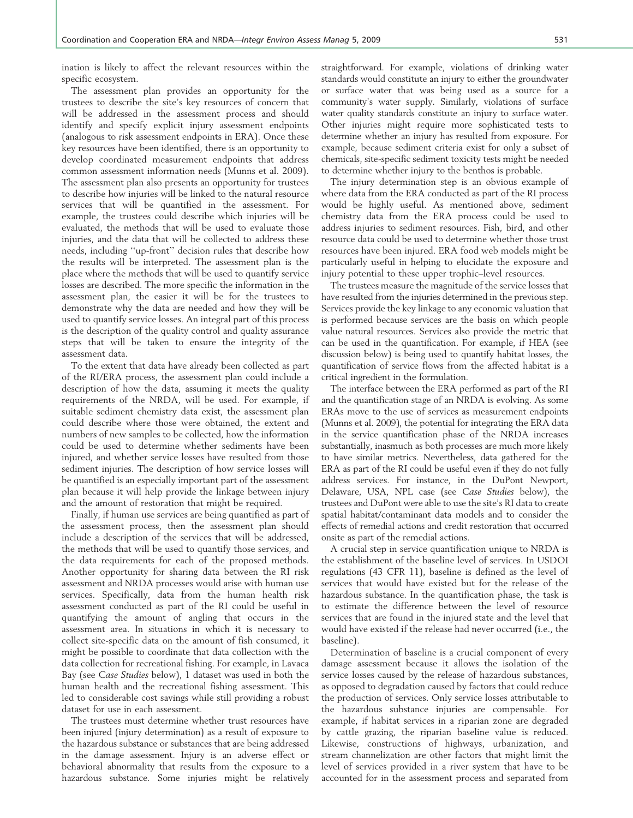ination is likely to affect the relevant resources within the specific ecosystem.

The assessment plan provides an opportunity for the trustees to describe the site's key resources of concern that will be addressed in the assessment process and should identify and specify explicit injury assessment endpoints (analogous to risk assessment endpoints in ERA). Once these key resources have been identified, there is an opportunity to develop coordinated measurement endpoints that address common assessment information needs (Munns et al. 2009). The assessment plan also presents an opportunity for trustees to describe how injuries will be linked to the natural resource services that will be quantified in the assessment. For example, the trustees could describe which injuries will be evaluated, the methods that will be used to evaluate those injuries, and the data that will be collected to address these needs, including ''up-front'' decision rules that describe how the results will be interpreted. The assessment plan is the place where the methods that will be used to quantify service losses are described. The more specific the information in the assessment plan, the easier it will be for the trustees to demonstrate why the data are needed and how they will be used to quantify service losses. An integral part of this process is the description of the quality control and quality assurance steps that will be taken to ensure the integrity of the assessment data.

To the extent that data have already been collected as part of the RI/ERA process, the assessment plan could include a description of how the data, assuming it meets the quality requirements of the NRDA, will be used. For example, if suitable sediment chemistry data exist, the assessment plan could describe where those were obtained, the extent and numbers of new samples to be collected, how the information could be used to determine whether sediments have been injured, and whether service losses have resulted from those sediment injuries. The description of how service losses will be quantified is an especially important part of the assessment plan because it will help provide the linkage between injury and the amount of restoration that might be required.

Finally, if human use services are being quantified as part of the assessment process, then the assessment plan should include a description of the services that will be addressed, the methods that will be used to quantify those services, and the data requirements for each of the proposed methods. Another opportunity for sharing data between the RI risk assessment and NRDA processes would arise with human use services. Specifically, data from the human health risk assessment conducted as part of the RI could be useful in quantifying the amount of angling that occurs in the assessment area. In situations in which it is necessary to collect site-specific data on the amount of fish consumed, it might be possible to coordinate that data collection with the data collection for recreational fishing. For example, in Lavaca Bay (see Case Studies below), 1 dataset was used in both the human health and the recreational fishing assessment. This led to considerable cost savings while still providing a robust dataset for use in each assessment.

The trustees must determine whether trust resources have been injured (injury determination) as a result of exposure to the hazardous substance or substances that are being addressed in the damage assessment. Injury is an adverse effect or behavioral abnormality that results from the exposure to a hazardous substance. Some injuries might be relatively

straightforward. For example, violations of drinking water standards would constitute an injury to either the groundwater or surface water that was being used as a source for a community's water supply. Similarly, violations of surface water quality standards constitute an injury to surface water. Other injuries might require more sophisticated tests to determine whether an injury has resulted from exposure. For example, because sediment criteria exist for only a subset of chemicals, site-specific sediment toxicity tests might be needed to determine whether injury to the benthos is probable.

The injury determination step is an obvious example of where data from the ERA conducted as part of the RI process would be highly useful. As mentioned above, sediment chemistry data from the ERA process could be used to address injuries to sediment resources. Fish, bird, and other resource data could be used to determine whether those trust resources have been injured. ERA food web models might be particularly useful in helping to elucidate the exposure and injury potential to these upper trophic–level resources.

The trustees measure the magnitude of the service losses that have resulted from the injuries determined in the previous step. Services provide the key linkage to any economic valuation that is performed because services are the basis on which people value natural resources. Services also provide the metric that can be used in the quantification. For example, if HEA (see discussion below) is being used to quantify habitat losses, the quantification of service flows from the affected habitat is a critical ingredient in the formulation.

The interface between the ERA performed as part of the RI and the quantification stage of an NRDA is evolving. As some ERAs move to the use of services as measurement endpoints (Munns et al. 2009), the potential for integrating the ERA data in the service quantification phase of the NRDA increases substantially, inasmuch as both processes are much more likely to have similar metrics. Nevertheless, data gathered for the ERA as part of the RI could be useful even if they do not fully address services. For instance, in the DuPont Newport, Delaware, USA, NPL case (see Case Studies below), the trustees and DuPont were able to use the site's RI data to create spatial habitat/contaminant data models and to consider the effects of remedial actions and credit restoration that occurred onsite as part of the remedial actions.

A crucial step in service quantification unique to NRDA is the establishment of the baseline level of services. In USDOI regulations (43 CFR 11), baseline is defined as the level of services that would have existed but for the release of the hazardous substance. In the quantification phase, the task is to estimate the difference between the level of resource services that are found in the injured state and the level that would have existed if the release had never occurred (i.e., the baseline).

Determination of baseline is a crucial component of every damage assessment because it allows the isolation of the service losses caused by the release of hazardous substances, as opposed to degradation caused by factors that could reduce the production of services. Only service losses attributable to the hazardous substance injuries are compensable. For example, if habitat services in a riparian zone are degraded by cattle grazing, the riparian baseline value is reduced. Likewise, constructions of highways, urbanization, and stream channelization are other factors that might limit the level of services provided in a river system that have to be accounted for in the assessment process and separated from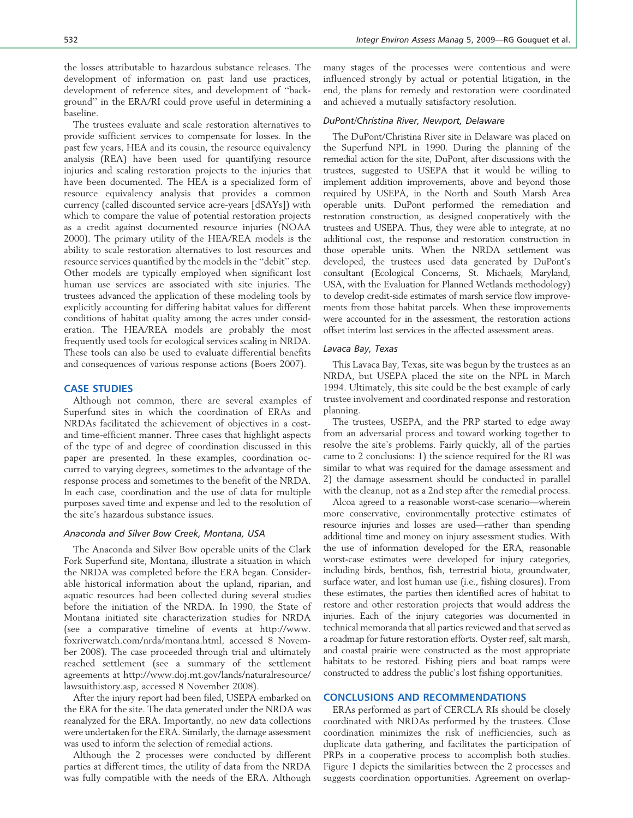the losses attributable to hazardous substance releases. The development of information on past land use practices, development of reference sites, and development of ''background'' in the ERA/RI could prove useful in determining a baseline.

The trustees evaluate and scale restoration alternatives to provide sufficient services to compensate for losses. In the past few years, HEA and its cousin, the resource equivalency analysis (REA) have been used for quantifying resource injuries and scaling restoration projects to the injuries that have been documented. The HEA is a specialized form of resource equivalency analysis that provides a common currency (called discounted service acre-years [dSAYs]) with which to compare the value of potential restoration projects as a credit against documented resource injuries (NOAA 2000). The primary utility of the HEA/REA models is the ability to scale restoration alternatives to lost resources and resource services quantified by the models in the ''debit'' step. Other models are typically employed when significant lost human use services are associated with site injuries. The trustees advanced the application of these modeling tools by explicitly accounting for differing habitat values for different conditions of habitat quality among the acres under consideration. The HEA/REA models are probably the most frequently used tools for ecological services scaling in NRDA. These tools can also be used to evaluate differential benefits and consequences of various response actions (Boers 2007).

# CASE STUDIES

Although not common, there are several examples of Superfund sites in which the coordination of ERAs and NRDAs facilitated the achievement of objectives in a costand time-efficient manner. Three cases that highlight aspects of the type of and degree of coordination discussed in this paper are presented. In these examples, coordination occurred to varying degrees, sometimes to the advantage of the response process and sometimes to the benefit of the NRDA. In each case, coordination and the use of data for multiple purposes saved time and expense and led to the resolution of the site's hazardous substance issues.

#### Anaconda and Silver Bow Creek, Montana, USA

The Anaconda and Silver Bow operable units of the Clark Fork Superfund site, Montana, illustrate a situation in which the NRDA was completed before the ERA began. Considerable historical information about the upland, riparian, and aquatic resources had been collected during several studies before the initiation of the NRDA. In 1990, the State of Montana initiated site characterization studies for NRDA (see a comparative timeline of events at http://www. foxriverwatch.com/nrda/montana.html, accessed 8 November 2008). The case proceeded through trial and ultimately reached settlement (see a summary of the settlement agreements at http://www.doj.mt.gov/lands/naturalresource/ lawsuithistory.asp, accessed 8 November 2008).

After the injury report had been filed, USEPA embarked on the ERA for the site. The data generated under the NRDA was reanalyzed for the ERA. Importantly, no new data collections were undertaken for the ERA. Similarly, the damage assessment was used to inform the selection of remedial actions.

Although the 2 processes were conducted by different parties at different times, the utility of data from the NRDA was fully compatible with the needs of the ERA. Although

many stages of the processes were contentious and were influenced strongly by actual or potential litigation, in the end, the plans for remedy and restoration were coordinated and achieved a mutually satisfactory resolution.

# DuPont/Christina River, Newport, Delaware

The DuPont/Christina River site in Delaware was placed on the Superfund NPL in 1990. During the planning of the remedial action for the site, DuPont, after discussions with the trustees, suggested to USEPA that it would be willing to implement addition improvements, above and beyond those required by USEPA, in the North and South Marsh Area operable units. DuPont performed the remediation and restoration construction, as designed cooperatively with the trustees and USEPA. Thus, they were able to integrate, at no additional cost, the response and restoration construction in those operable units. When the NRDA settlement was developed, the trustees used data generated by DuPont's consultant (Ecological Concerns, St. Michaels, Maryland, USA, with the Evaluation for Planned Wetlands methodology) to develop credit-side estimates of marsh service flow improvements from those habitat parcels. When these improvements were accounted for in the assessment, the restoration actions offset interim lost services in the affected assessment areas.

#### Lavaca Bay, Texas

This Lavaca Bay, Texas, site was begun by the trustees as an NRDA, but USEPA placed the site on the NPL in March 1994. Ultimately, this site could be the best example of early trustee involvement and coordinated response and restoration planning.

The trustees, USEPA, and the PRP started to edge away from an adversarial process and toward working together to resolve the site's problems. Fairly quickly, all of the parties came to 2 conclusions: 1) the science required for the RI was similar to what was required for the damage assessment and 2) the damage assessment should be conducted in parallel with the cleanup, not as a 2nd step after the remedial process.

Alcoa agreed to a reasonable worst-case scenario—wherein more conservative, environmentally protective estimates of resource injuries and losses are used—rather than spending additional time and money on injury assessment studies. With the use of information developed for the ERA, reasonable worst-case estimates were developed for injury categories, including birds, benthos, fish, terrestrial biota, groundwater, surface water, and lost human use (i.e., fishing closures). From these estimates, the parties then identified acres of habitat to restore and other restoration projects that would address the injuries. Each of the injury categories was documented in technical memoranda that all parties reviewed and that served as a roadmap for future restoration efforts. Oyster reef, salt marsh, and coastal prairie were constructed as the most appropriate habitats to be restored. Fishing piers and boat ramps were constructed to address the public's lost fishing opportunities.

#### CONCLUSIONS AND RECOMMENDATIONS

ERAs performed as part of CERCLA RIs should be closely coordinated with NRDAs performed by the trustees. Close coordination minimizes the risk of inefficiencies, such as duplicate data gathering, and facilitates the participation of PRPs in a cooperative process to accomplish both studies. Figure 1 depicts the similarities between the 2 processes and suggests coordination opportunities. Agreement on overlap-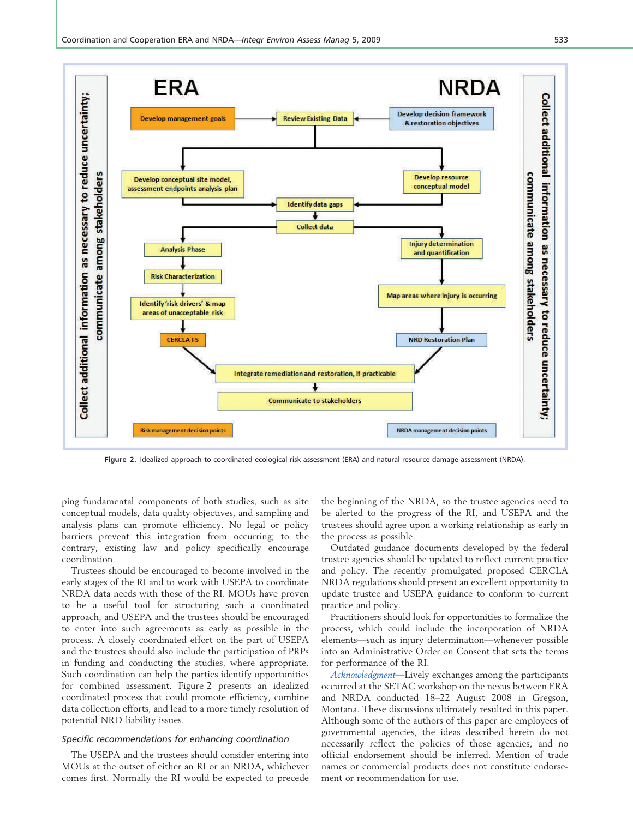

Figure 2. Idealized approach to coordinated ecological risk assessment (ERA) and natural resource damage assessment (NRDA).

ping fundamental components of both studies, such as site conceptual models, data quality objectives, and sampling and analysis plans can promote efficiency. No legal or policy barriers prevent this integration from occurring; to the contrary, existing law and policy specifically encourage coordination.

Trustees should be encouraged to become involved in the early stages of the RI and to work with USEPA to coordinate NRDA data needs with those of the RI. MOUs have proven to be a useful tool for structuring such a coordinated approach, and USEPA and the trustees should be encouraged to enter into such agreements as early as possible in the process. A closely coordinated effort on the part of USEPA and the trustees should also include the participation of PRPs in funding and conducting the studies, where appropriate. Such coordination can help the parties identify opportunities for combined assessment. Figure 2 presents an idealized coordinated process that could promote efficiency, combine data collection efforts, and lead to a more timely resolution of potential NRD liability issues.

# Specific recommendations for enhancing coordination

The USEPA and the trustees should consider entering into MOUs at the outset of either an RI or an NRDA, whichever comes first. Normally the RI would be expected to precede the beginning of the NRDA, so the trustee agencies need to be alerted to the progress of the RI, and USEPA and the trustees should agree upon a working relationship as early in the process as possible.

Outdated guidance documents developed by the federal trustee agencies should be updated to reflect current practice and policy. The recently promulgated proposed CERCLA NRDA regulations should present an excellent opportunity to update trustee and USEPA guidance to conform to current practice and policy.

Practitioners should look for opportunities to formalize the process, which could include the incorporation of NRDA elements—such as injury determination—whenever possible into an Administrative Order on Consent that sets the terms for performance of the RI.

Acknowledgment—Lively exchanges among the participants occurred at the SETAC workshop on the nexus between ERA and NRDA conducted 18–22 August 2008 in Gregson, Montana. These discussions ultimately resulted in this paper. Although some of the authors of this paper are employees of governmental agencies, the ideas described herein do not necessarily reflect the policies of those agencies, and no official endorsement should be inferred. Mention of trade names or commercial products does not constitute endorsement or recommendation for use.